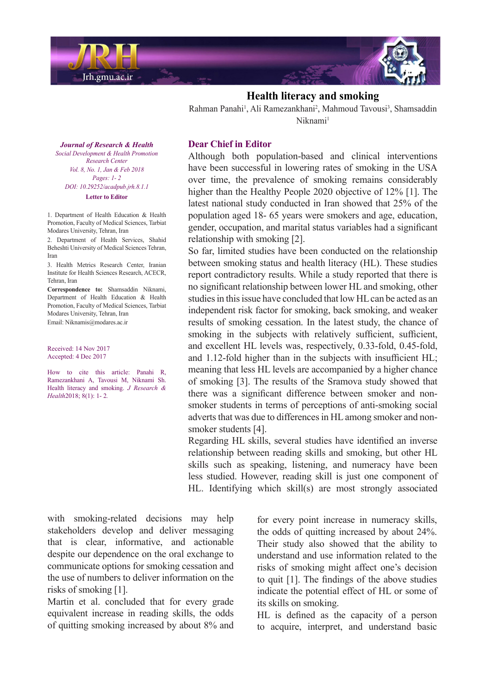

## **Health literacy and smoking**

Rahman Panahi<sup>1</sup>, Ali Ramezankhani<sup>2</sup>, Mahmoud Tavousi<sup>3</sup>, Shamsaddin Niknami<sup>1</sup>

*Journal of Research & Health Social Development & Health Promotion Center Research Vol. 8, No. 1, Jan & Feb 2018 Pages*: *1*-2 *DOI*: 10.29252/acadpub.jrh.8.1.1 **Letter** to Editor

1. Department of Health Education & Health Promotion. Faculty of Medical Sciences. Tarbiat Modares University, Tehran, Iran

2. Department of Health Services, Shahid Beheshti University of Medical Sciences Tehran, Iran

3. Health Metrics Research Center Iranian Institute for Health Sciences Research, ACECR, Tehran Iran

Correspondence to: Shamsaddin Niknami. Department of Health Education & Health Promotion, Faculty of Medical Sciences, Tarbiat Modares University, Tehran, Iran Email: Niknamis@modares.ac.ir

Received: 14 Nov 2017 Accepted: 4 Dec 2017

How to cite this article: Panahi R, Ramezankhani A, Tavousi M, Niknami Sh. Health literacy and smoking. *J Research & Health*2018; 8(1): 1-2.

## **Dear Chief in Editor**

Although both population-based and clinical interventions have been successful in lowering rates of smoking in the USA over time, the prevalence of smoking remains considerably higher than the Healthy People 2020 objective of  $12\%$  [1]. The latest national study conducted in Iran showed that 25% of the population aged 18-65 years were smokers and age, education, gender, occupation, and marital status variables had a significant relationship with smoking  $[2]$ .

So far, limited studies have been conducted on the relationship between smoking status and health literacy (HL). These studies report contradictory results. While a study reported that there is no significant relationship between lower HL and smoking, other studies in this issue have concluded that low HL can be acted as an independent risk factor for smoking, back smoking, and weaker results of smoking cessation. In the latest study, the chance of smoking in the subjects with relatively sufficient, sufficient, and excellent HL levels was, respectively, 0.33-fold, 0.45-fold, and  $1.12$ -fold higher than in the subjects with insufficient HL; meaning that less HL levels are accompanied by a higher chance of smoking [3]. The results of the Sramova study showed that smoker students in terms of perceptions of anti-smoking social there was a significant difference between smoker and nonadverts that was due to differences in HL among smoker and non-<br>smoker students [4].

Regarding HL skills, several studies have identified an inverse relationship between reading skills and smoking, but other HL skills such as speaking, listening, and numeracy have been less studied. However, reading skill is just one component of HL. Identifying which skill(s) are most strongly associated

with smoking-related decisions may help stakeholders develop and deliver messaging that is clear, informative, and actionable despite our dependence on the oral exchange to communicate options for smoking cessation and the use of numbers to deliver information on the risks of smoking  $[1]$ .

Martin et al. concluded that for every grade equivalent increase in reading skills, the odds of quitting smoking increased by about 8% and for every point increase in numeracy skills, the odds of quitting increased by about 24%. Their study also showed that the ability to understand and use information related to the risks of smoking might affect one's decision to quit  $[1]$ . The findings of the above studies indicate the potential effect of HL or some of its skills on smoking.

 $HL$  is defined as the capacity of a person to acquire, interpret, and understand basic